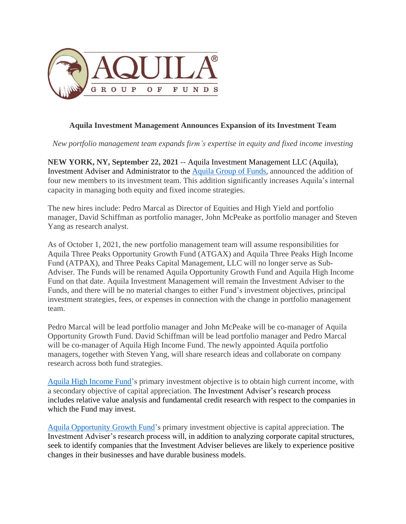

## **Aquila Investment Management Announces Expansion of its Investment Team**

*New portfolio management team expands firm's expertise in equity and fixed income investing*

**NEW YORK, NY, September 22, 2021** -- Aquila Investment Management LLC (Aquila), Investment Adviser and Administrator to the [Aquila Group of Funds](https://aquilafunds.com/), announced the addition of four new members to its investment team. This addition significantly increases Aquila's internal capacity in managing both equity and fixed income strategies.

The new hires include: Pedro Marcal as Director of Equities and High Yield and portfolio manager, David Schiffman as portfolio manager, John McPeake as portfolio manager and Steven Yang as research analyst.

As of October 1, 2021, the new portfolio management team will assume responsibilities for Aquila Three Peaks Opportunity Growth Fund (ATGAX) and Aquila Three Peaks High Income Fund (ATPAX), and Three Peaks Capital Management, LLC will no longer serve as Sub-Adviser. The Funds will be renamed Aquila Opportunity Growth Fund and Aquila High Income Fund on that date. Aquila Investment Management will remain the Investment Adviser to the Funds, and there will be no material changes to either Fund's investment objectives, principal investment strategies, fees, or expenses in connection with the change in portfolio management team.

Pedro Marcal will be lead portfolio manager and John McPeake will be co-manager of Aquila Opportunity Growth Fund. David Schiffman will be lead portfolio manager and Pedro Marcal will be co-manager of Aquila High Income Fund. The newly appointed Aquila portfolio managers, together with Steven Yang, will share research ideas and collaborate on company research across both fund strategies.

Aquila High [Income](https://aquilafunds.com/funds/aquila-three-peaks-income-fund/) Fund's primary investment objective is to obtain high current income, with a secondary objective of capital appreciation. The Investment Adviser's research process includes relative value analysis and fundamental credit research with respect to the companies in which the Fund may invest.

Aquila [Opportunity](https://aquilafunds.com/funds/aquila-three-peaks-opportunity-growth-fund-2/) Growth Fund's primary investment objective is capital appreciation. The Investment Adviser's research process will, in addition to analyzing corporate capital structures, seek to identify companies that the Investment Adviser believes are likely to experience positive changes in their businesses and have durable business models.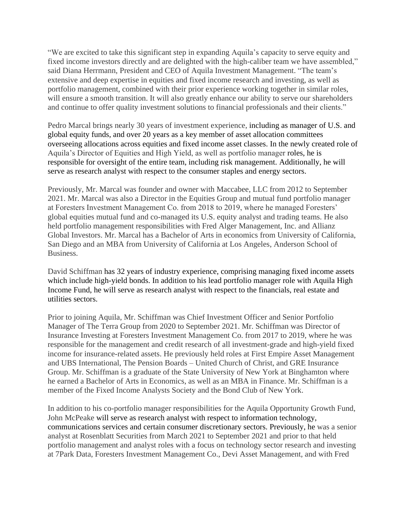"We are excited to take this significant step in expanding Aquila's capacity to serve equity and fixed income investors directly and are delighted with the high-caliber team we have assembled," said Diana Herrmann, President and CEO of Aquila Investment Management. "The team's extensive and deep expertise in equities and fixed income research and investing, as well as portfolio management, combined with their prior experience working together in similar roles, will ensure a smooth transition. It will also greatly enhance our ability to serve our shareholders and continue to offer quality investment solutions to financial professionals and their clients."

Pedro Marcal brings nearly 30 years of investment experience, including as manager of U.S. and global equity funds, and over 20 years as a key member of asset allocation committees overseeing allocations across equities and fixed income asset classes. In the newly created role of Aquila's Director of Equities and High Yield, as well as portfolio manager roles, he is responsible for oversight of the entire team, including risk management. Additionally, he will serve as research analyst with respect to the consumer staples and energy sectors.

Previously, Mr. Marcal was founder and owner with Maccabee, LLC from 2012 to September 2021. Mr. Marcal was also a Director in the Equities Group and mutual fund portfolio manager at Foresters Investment Management Co. from 2018 to 2019, where he managed Foresters' global equities mutual fund and co-managed its U.S. equity analyst and trading teams. He also held portfolio management responsibilities with Fred Alger Management, Inc. and Allianz Global Investors. Mr. Marcal has a Bachelor of Arts in economics from University of California, San Diego and an MBA from University of California at Los Angeles, Anderson School of Business.

David Schiffman has 32 years of industry experience, comprising managing fixed income assets which include high-yield bonds. In addition to his lead portfolio manager role with Aquila High Income Fund, he will serve as research analyst with respect to the financials, real estate and utilities sectors.

Prior to joining Aquila, Mr. Schiffman was Chief Investment Officer and Senior Portfolio Manager of The Terra Group from 2020 to September 2021. Mr. Schiffman was Director of Insurance Investing at Foresters Investment Management Co. from 2017 to 2019, where he was responsible for the management and credit research of all investment-grade and high-yield fixed income for insurance-related assets. He previously held roles at First Empire Asset Management and UBS International, The Pension Boards – United Church of Christ, and GRE Insurance Group. Mr. Schiffman is a graduate of the State University of New York at Binghamton where he earned a Bachelor of Arts in Economics, as well as an MBA in Finance. Mr. Schiffman is a member of the Fixed Income Analysts Society and the Bond Club of New York.

In addition to his co-portfolio manager responsibilities for the Aquila Opportunity Growth Fund, John McPeake will serve as research analyst with respect to information technology, communications services and certain consumer discretionary sectors. Previously, he was a senior analyst at Rosenblatt Securities from March 2021 to September 2021 and prior to that held portfolio management and analyst roles with a focus on technology sector research and investing at 7Park Data, Foresters Investment Management Co., Devi Asset Management, and with Fred